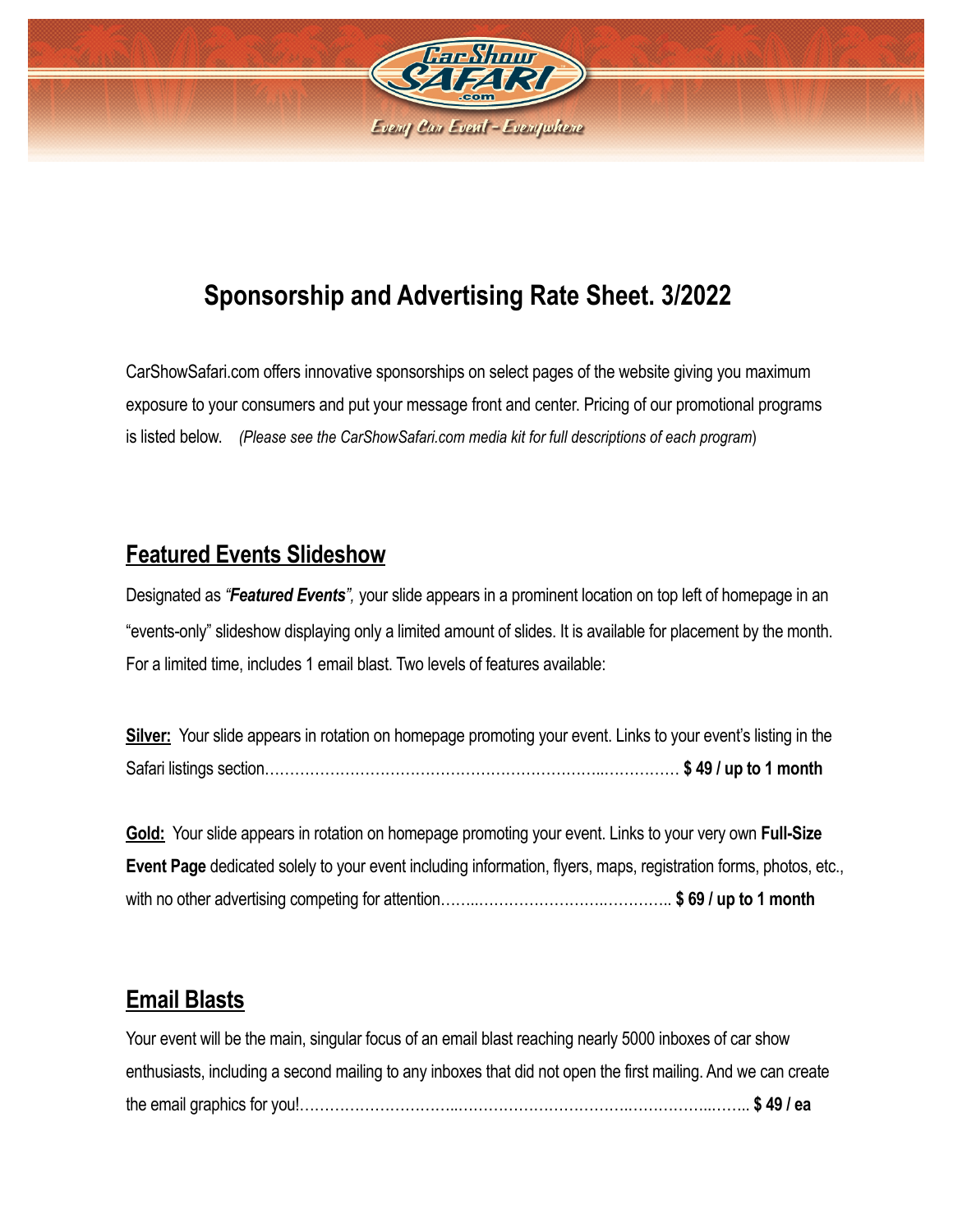

# **Sponsorship and Advertising Rate Sheet. 3/2022**

CarShowSafari.com offers innovative sponsorships on select pages of the website giving you maximum exposure to your consumers and put your message front and center. Pricing of our promotional programs is listed below. *(Please see the CarShowSafari.com media kit for full descriptions of each program*)

#### **Featured Events Slideshow**

Designated as *"Featured Events",* your slide appears in a prominent location on top left of homepage in an "events-only" slideshow displaying only a limited amount of slides. It is available for placement by the month. For a limited time, includes 1 email blast. Two levels of features available:

**Silver:** Your slide appears in rotation on homepage promoting your event. Links to your event's listing in the Safari listings section…………………………………………………………..…………… **\$ 49 / up to 1 month**

**Gold:** Your slide appears in rotation on homepage promoting your event. Links to your very own **Full-Size Event Page** dedicated solely to your event including information, flyers, maps, registration forms, photos, etc., with no other advertising competing for attention……..…………………….………….. **\$ 69 / up to 1 month**

#### **Email Blasts**

Your event will be the main, singular focus of an email blast reaching nearly 5000 inboxes of car show enthusiasts, including a second mailing to any inboxes that did not open the first mailing. And we can create the email graphics for you!…………………………..…………………………….……………..…….. **\$ 49 / ea**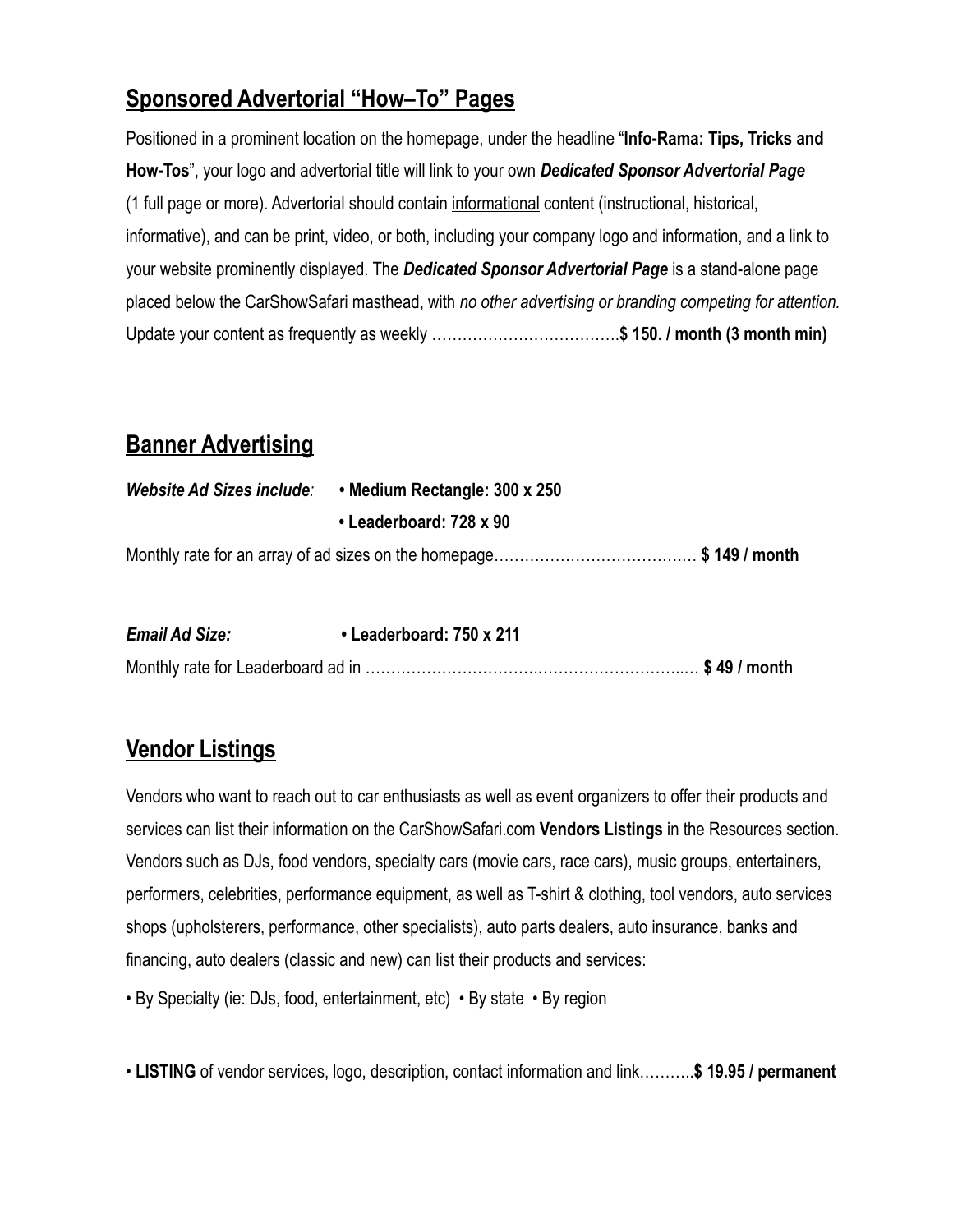# **Sponsored Advertorial "How–To" Pages**

Positioned in a prominent location on the homepage, under the headline "**Info-Rama: Tips, Tricks and How-Tos**", your logo and advertorial title will link to your own *Dedicated Sponsor Advertorial Page* (1 full page or more). Advertorial should contain informational content (instructional, historical, informative), and can be print, video, or both, including your company logo and information, and a link to your website prominently displayed. The *Dedicated Sponsor Advertorial Page* is a stand-alone page placed below the CarShowSafari masthead, with *no other advertising or branding competing for attention.*  Update your content as frequently as weekly ……………………………….**\$ 150. / month (3 month min)** 

#### **Banner Advertising**

| Website Ad Sizes include: • Medium Rectangle: 300 x 250 |  |
|---------------------------------------------------------|--|
| • Leaderboard: 728 x 90                                 |  |
|                                                         |  |

| <b>Email Ad Size:</b> | • Leaderboard: 750 x 211 |  |
|-----------------------|--------------------------|--|
|                       |                          |  |

### **Vendor Listings**

Vendors who want to reach out to car enthusiasts as well as event organizers to offer their products and services can list their information on the CarShowSafari.com **Vendors Listings** in the Resources section. Vendors such as DJs, food vendors, specialty cars (movie cars, race cars), music groups, entertainers, performers, celebrities, performance equipment, as well as T-shirt & clothing, tool vendors, auto services shops (upholsterers, performance, other specialists), auto parts dealers, auto insurance, banks and financing, auto dealers (classic and new) can list their products and services:

• By Specialty (ie: DJs, food, entertainment, etc) • By state • By region

• **LISTING** of vendor services, logo, description, contact information and link………..**\$ 19.95 / permanent**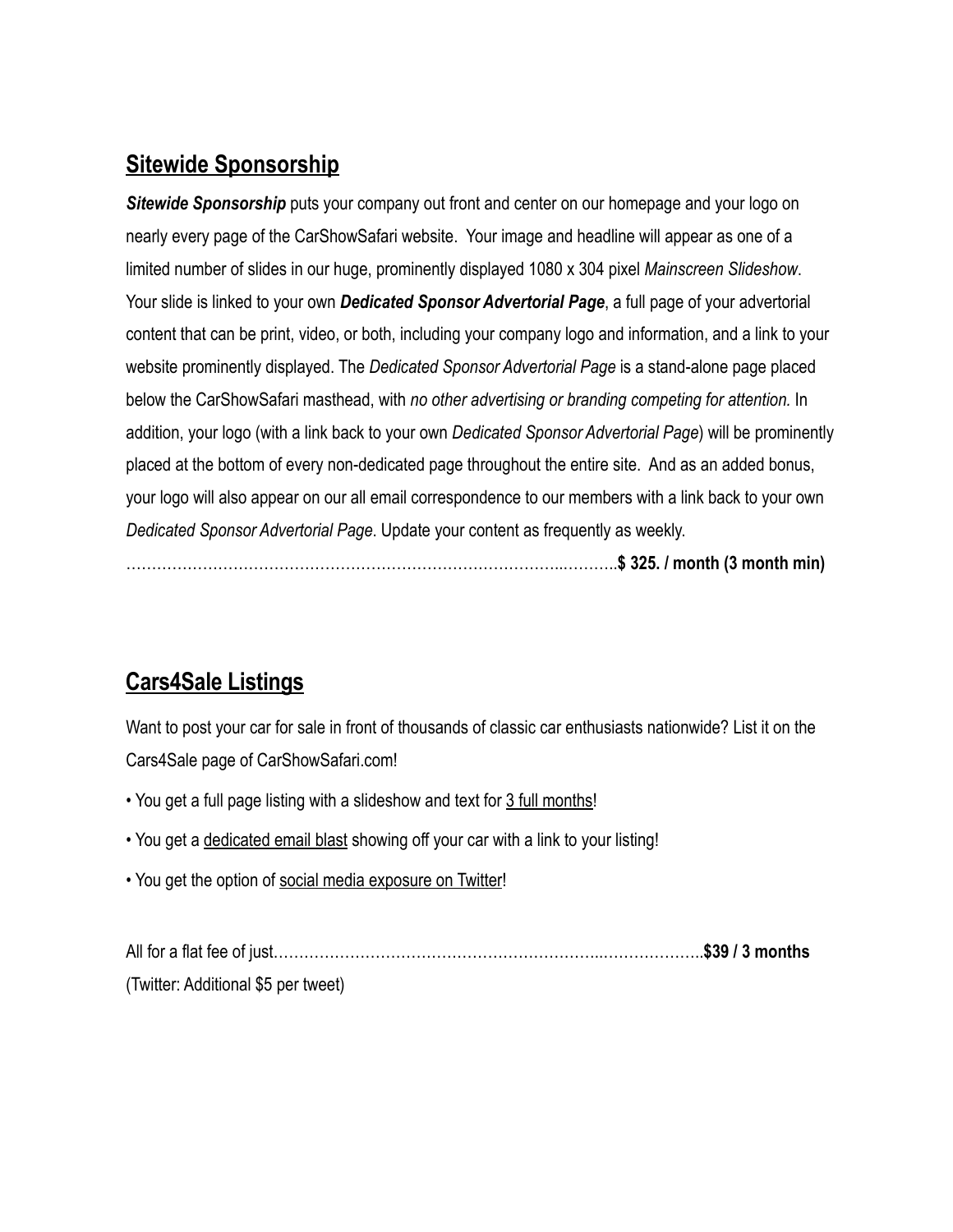### **Sitewide Sponsorship**

*Sitewide Sponsorship* puts your company out front and center on our homepage and your logo on nearly every page of the CarShowSafari website. Your image and headline will appear as one of a limited number of slides in our huge, prominently displayed 1080 x 304 pixel *Mainscreen Slideshow*. Your slide is linked to your own *Dedicated Sponsor Advertorial Page*, a full page of your advertorial content that can be print, video, or both, including your company logo and information, and a link to your website prominently displayed. The *Dedicated Sponsor Advertorial Page* is a stand-alone page placed below the CarShowSafari masthead, with *no other advertising or branding competing for attention.* In addition, your logo (with a link back to your own *Dedicated Sponsor Advertorial Page*) will be prominently placed at the bottom of every non-dedicated page throughout the entire site. And as an added bonus, your logo will also appear on our all email correspondence to our members with a link back to your own *Dedicated Sponsor Advertorial Page*. Update your content as frequently as weekly.

…………………………………………………………………………..………..**\$ 325. / month (3 month min)** 

# **Cars4Sale Listings**

Want to post your car for sale in front of thousands of classic car enthusiasts nationwide? List it on the Cars4Sale page of CarShowSafari.com!

- You get a full page listing with a slideshow and text for 3 full months!
- You get a dedicated email blast showing off your car with a link to your listing!
- You get the option of social media exposure on Twitter!

All for a flat fee of just………………………………………………………..………………..**\$39 / 3 months**  (Twitter: Additional \$5 per tweet)